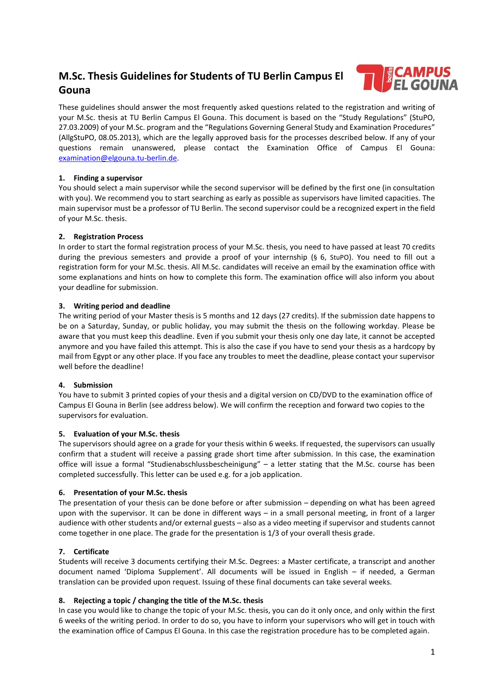# **M.Sc. Thesis Guidelines for Students of TU Berlin Campus El Gouna**



These guidelines should answer the most frequently asked questions related to the registration and writing of your M.Sc. thesis at TU Berlin Campus El Gouna. This document is based on the "Study Regulations" (StuPO, 27.03.2009) of your M.Sc. program and the "Regulations Governing General Study and Examination Procedures" (AllgStuPO, 08.05.2013), which are the legally approved basis for the processes described below. If any of your questions remain unanswered, please contact the Examination Office of Campus El Gouna: [examination@elgouna.tu-berlin.de.](mailto:examination@elgouna.tu-berlin.de)

# **1. Finding a supervisor**

You should select a main supervisor while the second supervisor will be defined by the first one (in consultation with you). We recommend you to start searching as early as possible as supervisors have limited capacities. The main supervisor must be a professor of TU Berlin. The second supervisor could be a recognized expert in the field of your M.Sc. thesis.

# **2. Registration Process**

In order to start the formal registration process of your M.Sc. thesis, you need to have passed at least 70 credits during the previous semesters and provide a proof of your internship (§ 6, StuPO). You need to fill out a registration form for your M.Sc. thesis. All M.Sc. candidates will receive an email by the examination office with some explanations and hints on how to complete this form. The examination office will also inform you about your deadline for submission.

# **3. Writing period and deadline**

The writing period of your Master thesis is 5 months and 12 days (27 credits). If the submission date happens to be on a Saturday, Sunday, or public holiday, you may submit the thesis on the following workday. Please be aware that you must keep this deadline. Even if you submit your thesis only one day late, it cannot be accepted anymore and you have failed this attempt. This is also the case if you have to send your thesis as a hardcopy by mail from Egypt or any other place. If you face any troubles to meet the deadline, please contact your supervisor well before the deadline!

#### **4. Submission**

You have to submit 3 printed copies of your thesis and a digital version on CD/DVD to the examination office of Campus El Gouna in Berlin (see address below). We will confirm the reception and forward two copies to the supervisors for evaluation.

#### **5. Evaluation of your M.Sc. thesis**

The supervisors should agree on a grade for your thesis within 6 weeks. If requested, the supervisors can usually confirm that a student will receive a passing grade short time after submission. In this case, the examination office will issue a formal "Studienabschlussbescheinigung" – a letter stating that the M.Sc. course has been completed successfully. This letter can be used e.g. for a job application.

#### **6. Presentation of your M.Sc. thesis**

The presentation of your thesis can be done before or after submission – depending on what has been agreed upon with the supervisor. It can be done in different ways – in a small personal meeting, in front of a larger audience with other students and/or external guests – also as a video meeting if supervisor and students cannot come together in one place. The grade for the presentation is 1/3 of your overall thesis grade.

# **7. Certificate**

Students will receive 3 documents certifying their M.Sc. Degrees: a Master certificate, a transcript and another document named 'Diploma Supplement'. All documents will be issued in English – if needed, a German translation can be provided upon request. Issuing of these final documents can take several weeks.

#### **8. Rejecting a topic / changing the title of the M.Sc. thesis**

In case you would like to change the topic of your M.Sc. thesis, you can do it only once, and only within the first 6 weeks of the writing period. In order to do so, you have to inform your supervisors who will get in touch with the examination office of Campus El Gouna. In this case the registration procedure has to be completed again.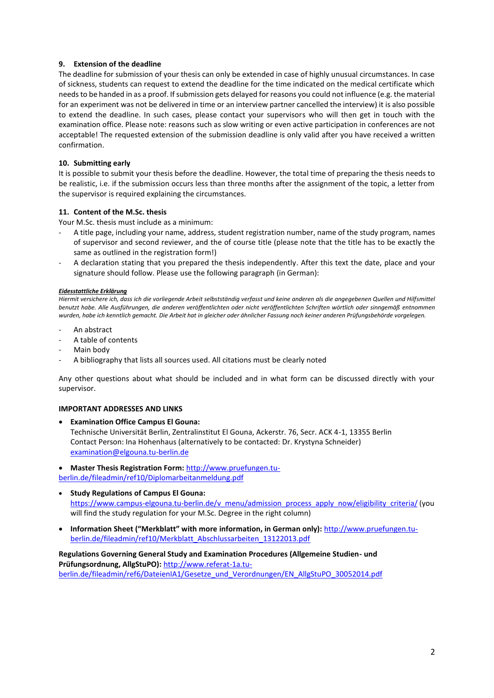# **9. Extension of the deadline**

The deadline for submission of your thesis can only be extended in case of highly unusual circumstances. In case of sickness, students can request to extend the deadline for the time indicated on the medical certificate which needs to be handed in as a proof. If submission gets delayed for reasons you could not influence (e.g. the material for an experiment was not be delivered in time or an interview partner cancelled the interview) it is also possible to extend the deadline. In such cases, please contact your supervisors who will then get in touch with the examination office. Please note: reasons such as slow writing or even active participation in conferences are not acceptable! The requested extension of the submission deadline is only valid after you have received a written confirmation.

### **10. Submitting early**

It is possible to submit your thesis before the deadline. However, the total time of preparing the thesis needs to be realistic, i.e. if the submission occurs less than three months after the assignment of the topic, a letter from the supervisor is required explaining the circumstances.

# **11. Content of the M.Sc. thesis**

Your M.Sc. thesis must include as a minimum:

- A title page, including your name, address, student registration number, name of the study program, names of supervisor and second reviewer, and the of course title (please note that the title has to be exactly the same as outlined in the registration form!)
- A declaration stating that you prepared the thesis independently. After this text the date, place and your signature should follow. Please use the following paragraph (in German):

#### *Eidesstattliche Erklärung*

*Hiermit versichere ich, dass ich die vorliegende Arbeit selbstständig verfasst und keine anderen als die angegebenen Quellen und Hilfsmittel benutzt habe. Alle Ausführungen, die anderen veröffentlichten oder nicht veröffentlichten Schriften wörtlich oder sinngemäß entnommen wurden, habe ich kenntlich gemacht. Die Arbeit hat in gleicher oder ähnlicher Fassung noch keiner anderen Prüfungsbehörde vorgelegen.*

- An abstract
- A table of contents
- Main body
- A bibliography that lists all sources used. All citations must be clearly noted

Any other questions about what should be included and in what form can be discussed directly with your supervisor.

#### **IMPORTANT ADDRESSES AND LINKS**

- **Examination Office Campus El Gouna:** Technische Universität Berlin, Zentralinstitut El Gouna, Ackerstr. 76, Secr. ACK 4-1, 13355 Berlin Contact Person: Ina Hohenhaus (alternatively to be contacted: Dr. Krystyna Schneider) [examination@elgouna.tu-berlin.de](mailto:examination@elgouna.tu-berlin.de)
- **Master Thesis Registration Form:** http://www.pruefungen.tu-

berlin.de/fileadmin/ref10/Diplomarbeitanmeldung.pdf

- **Study Regulations of Campus El Gouna:** [https://www.campus-elgouna.tu-berlin.de/v\\_menu/admission\\_process\\_apply\\_now/eligibility\\_criteria/](https://www.campus-elgouna.tu-berlin.de/v_menu/admission_process_apply_now/eligibility_criteria/) (you will find the study regulation for your M.Sc. Degree in the right column)
- **Information Sheet ("Merkblatt" with more information, in German only):** http://www.pruefungen.tuberlin.de/fileadmin/ref10/Merkblatt\_Abschlussarbeiten\_13122013.pdf

**Regulations Governing General Study and Examination Procedures (Allgemeine Studien- und Prüfungsordnung, AllgStuPO):** [http://www.referat-1a.tu](http://www.referat-1a.tu-berlin.de/fileadmin/ref6/DateienIA1/Gesetze_und_Verordnungen/EN_AllgStuPO_30052014.pdf)[berlin.de/fileadmin/ref6/DateienIA1/Gesetze\\_und\\_Verordnungen/EN\\_AllgStuPO\\_30052014.pdf](http://www.referat-1a.tu-berlin.de/fileadmin/ref6/DateienIA1/Gesetze_und_Verordnungen/EN_AllgStuPO_30052014.pdf)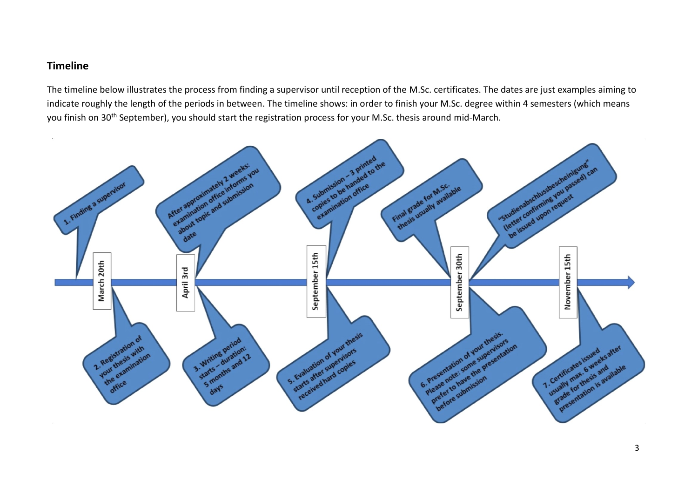# **Timeline**

The timeline below illustrates the process from finding a supervisor until reception of the M.Sc. certificates. The dates are just examples aiming to indicate roughly the length of the periods in between. The timeline shows: in order to finish your M.Sc. degree within 4 semesters (which means you finish on 30<sup>th</sup> September), you should start the registration process for your M.Sc. thesis around mid-March.